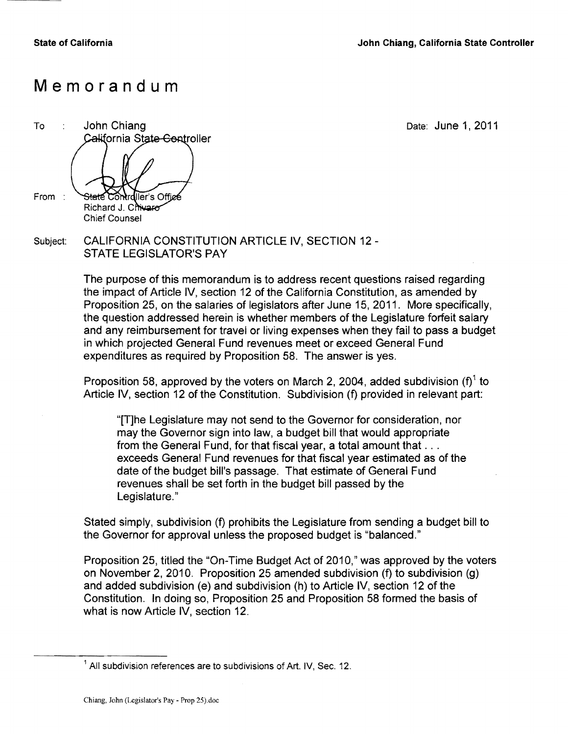## **Memorandum**

To : John Chiang **Date: June 1, 2011** California State Controller From : Staté. Controller's Offic Richard J. Chivaro **Chief Counsel** 

Subject: CALIFORNIA CONSTITUTION ARTICLE IV, SECTION 12 -STATE LEGISLATOR'S PAY

> The purpose of this memorandum is to address recent questions raised regarding the impact of Article IV, section 12 of the California Constitution, as amended by Proposition 25, on the salaries of legislators after June 15, 2011. More specifically, the question addressed herein is whether members of the Legislature forfeit salary and any reimbursement for travel or living expenses when they fail to pass a budget in which projected General Fund revenues meet or exceed General Fund expenditures as required by Proposition 58. The answer is yes.

Proposition 58, approved by the voters on March 2, 2004, added subdivision (f)<sup>1</sup> to Article IV, section 12 of the Constitution. Subdivision (f) provided in relevant part:

"[T]he Legislature may not send to the Governor for consideration, nor may the Governor sign into law, a budget bill that would appropriate from the General Fund, for that fiscal year, a total amount that ... exceeds General Fund revenues for that fiscal year estimated as of the date of the budget bill's passage. That estimate of General Fund revenues shall be set forth in the budget bill passed by the Legislature."

Stated simply, subdivision (f) prohibits the Legislature from sending a budget bill to the Governor for approval unless the proposed budget is "balanced."

Proposition 25, titled the "On-Time Budget Act of 2010," was approved by the voters on November 2, 2010. Proposition 25 amended subdivision (f) to subdivision (g) and added subdivision (e) and subdivision (h) to Article IV, section 12 of the Constitution. In doing so, Proposition 25 and Proposition 58 formed the basis of what is now Article IV, section 12.

<sup>&</sup>lt;sup>1</sup> All subdivision references are to subdivisions of Art. IV, Sec. 12.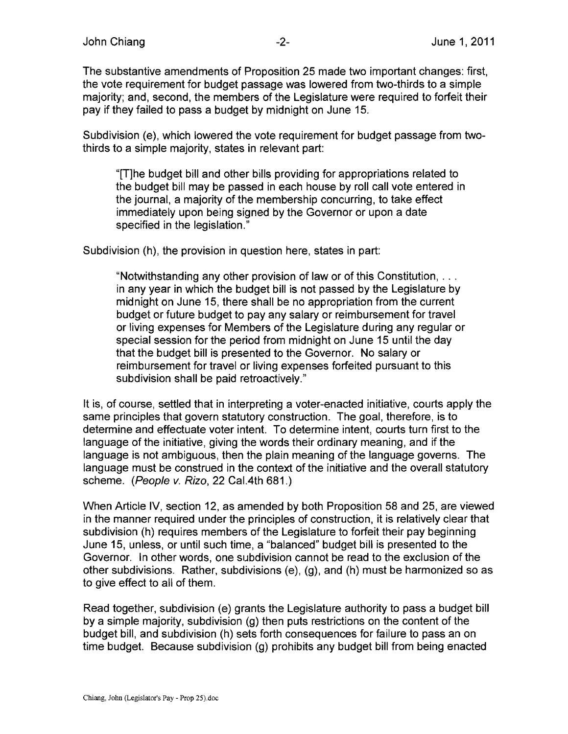The substantive amendments of Proposition 25 made two important changes: first, the vote requirement for budget passage was lowered from two-thirds to a simple majority; and, second, the members of the Legislature were required to forfeit their pay if they failed to pass a budget by midnight on June 15.

Subdivision (e), which lowered the vote requirement for budget passage from twothirds to a simple majority, states in relevant part:

"[T]he budget bill and other bills providing for appropriations related to the budget bill may be passed in each house by roll call vote entered in the journal, a majority of the membership concurring, to take effect immediately upon being signed by the Governor or upon a date specified in the legislation."

Subdivision (h), the provision in question here, states in part:

"Notwithstanding any other provision of law or of this Constitution, ... in any year in which the budget bill is not passed by the Legislature by midnight on June 15, there shall be no appropriation from the current budget or future budget to pay any salary or reimbursement for travel or living expenses for Members of the Legislature during any regular or special session for the period from midnight on June 15 until the day that the budget bill is presented to the Governor. No salary or reimbursement for travel or living expenses forfeited pursuant to this subdivision shall be paid retroactively."

It is, of course, settled that in interpreting a voter-enacted initiative, courts apply the same principles that govern statutory construction. The goal, therefore, is to determine and effectuate voter intent. To determine intent, courts turn first to the language of the initiative, giving the words their ordinary meaning, and if the language is not ambiguous, then the plain meaning of the language governs. The language must be construed in the context of the initiative and the overall statutory scheme. (People v. Rizo, 22 Cal.4th 681.)

When Article IV, section 12, as amended by both Proposition 58 and 25, are viewed in the manner required under the principles of construction, it is relatively clear that subdivision (h) requires members of the Legislature to forfeit their pay beginning June 15, unless, or until such time, a "balanced" budget bill is presented to the Governor. In other words, one subdivision cannot be read to the exclusion of the other subdivisions. Rather, subdivisions (e), (g), and (h) must be harmonized so as to give effect to all of them.

Read together, subdivision (e) grants the Legislature authority to pass a budget bill by a simple majority, subdivision (g) then puts restrictions on the content of the budget bill, and subdivision (h) sets forth consequences for failure to pass an on time budget. Because subdivision (g) prohibits any budget bill from being enacted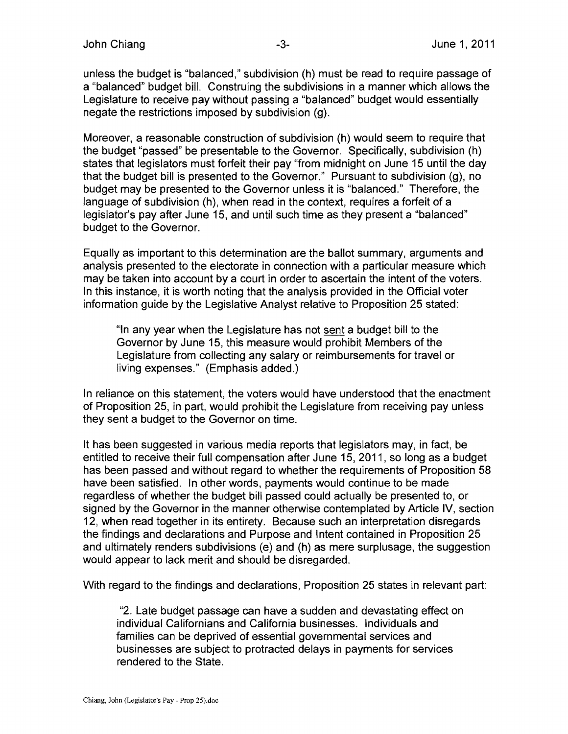unless the budget is "balanced," subdivision (h) must be read to require passage of a "balanced" budget bill. Construing the subdivisions in a manner which allows the Legislature to receive pay without passing a "balanced" budget would essentially negate the restrictions imposed by subdivision (g).

Moreover, a reasonable construction of subdivision (h) would seem to require that the budget "passed" be presentable to the Governor. Specifically, subdivision (h) states that legislators must forfeit their pay "from midnight on June 15 until the day that the budget bill is presented to the Governor." Pursuant to subdivision (g), no budget may be presented to the Governor unless it is "balanced." Therefore, the language of subdivision (h), when read in the context, requires a forfeit of a legislator's pay after June 15. and until such time as they present a "balanced" budget to the Governor.

Equally as important to this determination are the ballot summary, arguments and analysis presented to the electorate in connection with a particular measure which may be taken into account by a court in order to ascertain the intent of the voters. In this instance, it is worth noting that the analysis provided in the Official voter information guide by the Legislative Analyst relative to Proposition 25 stated:

"In any year when the Legislature has not sent a budget bill to the Governor by June 15. this measure would prohibit Members of the Legislature from collecting any salary or reimbursements for travel or living expenses." (Emphasis added.)

In reliance on this statement, the voters would have understood that the enactment of Proposition 25, in part, would prohibit the Legislature from receiving pay unless they sent a budget to the Governor on time.

It has been suggested in various media reports that legislators may. in fact, be entitled to receive their full compensation after June 15, 2011, so long as a budget has been passed and without regard to whether the requirements of Proposition 58 have been satisfied. In other words, payments would continue to be made regardless of whether the budget bill passed could actually be presented to. or signed by the Governor in the manner otherwise contemplated by Article IV, section 12, when read together in its entirety. Because such an interpretation disregards the findings and declarations and Purpose and Intent contained in Proposition 25 and ultimately renders subdivisions (e) and (h) as mere surplusage, the suggestion would appear to lack merit and should be disregarded.

With regard to the findings and declarations, Proposition 25 states in relevant part:

"2. Late budget passage can have a sudden and devastating effect on individual Californians and California businesses. Individuals and families can be deprived of essential governmental services and businesses are subject to protracted delays in payments for services rendered to the State.